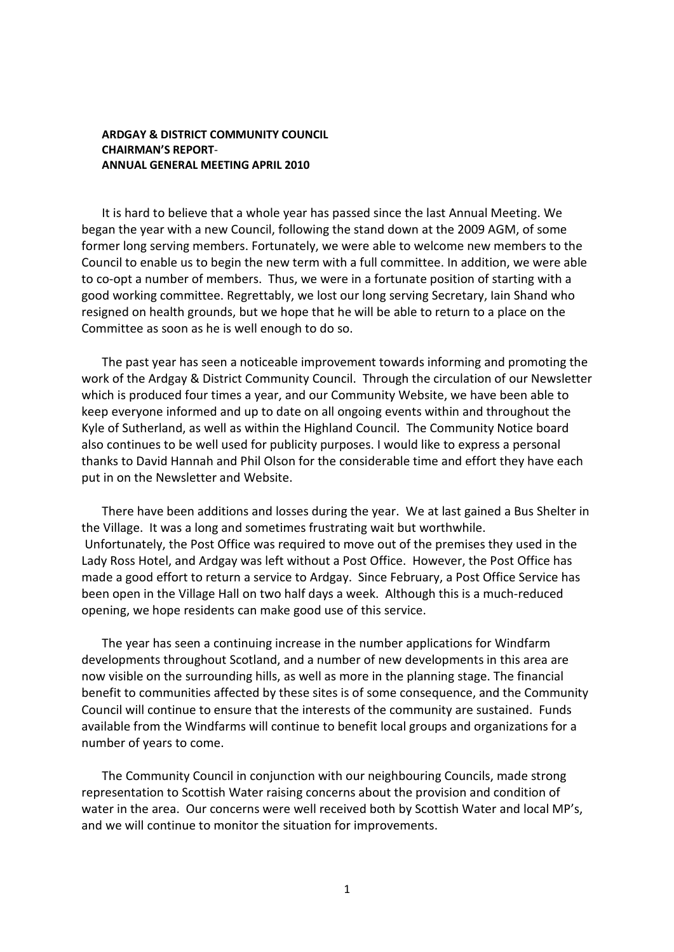## **ARDGAY & DISTRICT COMMUNITY COUNCIL CHAIRMAN'S REPORT**-**ANNUAL GENERAL MEETING APRIL 2010**

It is hard to believe that a whole year has passed since the last Annual Meeting. We began the year with a new Council, following the stand down at the 2009 AGM, of some former long serving members. Fortunately, we were able to welcome new members to the Council to enable us to begin the new term with a full committee. In addition, we were able to co-opt a number of members. Thus, we were in a fortunate position of starting with a good working committee. Regrettably, we lost our long serving Secretary, Iain Shand who resigned on health grounds, but we hope that he will be able to return to a place on the Committee as soon as he is well enough to do so.

The past year has seen a noticeable improvement towards informing and promoting the work of the Ardgay & District Community Council. Through the circulation of our Newsletter which is produced four times a year, and our Community Website, we have been able to keep everyone informed and up to date on all ongoing events within and throughout the Kyle of Sutherland, as well as within the Highland Council. The Community Notice board also continues to be well used for publicity purposes. I would like to express a personal thanks to David Hannah and Phil Olson for the considerable time and effort they have each put in on the Newsletter and Website.

There have been additions and losses during the year. We at last gained a Bus Shelter in the Village. It was a long and sometimes frustrating wait but worthwhile. Unfortunately, the Post Office was required to move out of the premises they used in the Lady Ross Hotel, and Ardgay was left without a Post Office. However, the Post Office has made a good effort to return a service to Ardgay. Since February, a Post Office Service has been open in the Village Hall on two half days a week. Although this is a much-reduced opening, we hope residents can make good use of this service.

The year has seen a continuing increase in the number applications for Windfarm developments throughout Scotland, and a number of new developments in this area are now visible on the surrounding hills, as well as more in the planning stage. The financial benefit to communities affected by these sites is of some consequence, and the Community Council will continue to ensure that the interests of the community are sustained. Funds available from the Windfarms will continue to benefit local groups and organizations for a number of years to come.

The Community Council in conjunction with our neighbouring Councils, made strong representation to Scottish Water raising concerns about the provision and condition of water in the area. Our concerns were well received both by Scottish Water and local MP's, and we will continue to monitor the situation for improvements.